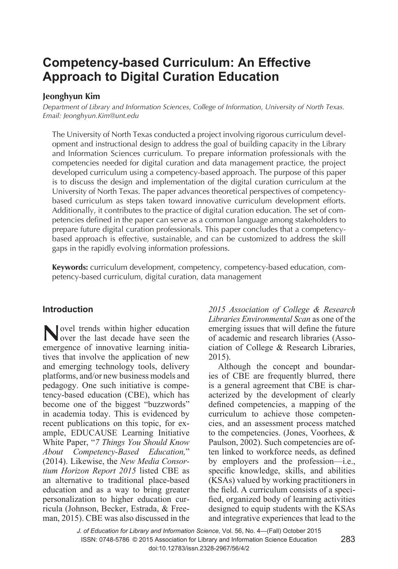# **Competency-based Curriculum: An Effective Approach to Digital Curation Education**

## **Jeonghyun Kim**

*Department of Library and Information Sciences, College of Information, University of North Texas. Email: Jeonghyun.Kim@unt.edu*

The University of North Texas conducted a project involving rigorous curriculum development and instructional design to address the goal of building capacity in the Library and Information Sciences curriculum. To prepare information professionals with the competencies needed for digital curation and data management practice, the project developed curriculum using a competency-based approach. The purpose of this paper is to discuss the design and implementation of the digital curation curriculum at the University of North Texas. The paper advances theoretical perspectives of competencybased curriculum as steps taken toward innovative curriculum development efforts. Additionally, it contributes to the practice of digital curation education. The set of competencies defined in the paper can serve as a common language among stakeholders to prepare future digital curation professionals. This paper concludes that a competencybased approach is effective, sustainable, and can be customized to address the skill gaps in the rapidly evolving information professions.

**Keywords:** curriculum development, competency, competency-based education, competency-based curriculum, digital curation, data management

## **Introduction**

Novel trends within higher education<br>
over the last decade have seen the emergence of innovative learning initiatives that involve the application of new and emerging technology tools, delivery platforms, and/or new business models and pedagogy. One such initiative is competency-based education (CBE), which has become one of the biggest "buzzwords" in academia today. This is evidenced by recent publications on this topic, for example, EDUCAUSE Learning Initiative White Paper, "*7 Things You Should Know About Competency-Based Education,*" (2014). Likewise, the *New Media Consortium Horizon Report 2015* listed CBE as an alternative to traditional place-based education and as a way to bring greater personalization to higher education curricula (Johnson, Becker, Estrada, & Freeman, 2015). CBE was also discussed in the

*2015 Association of College & Research Libraries Environmental Scan* as one of the emerging issues that will define the future of academic and research libraries (Association of College & Research Libraries, 2015).

Although the concept and boundaries of CBE are frequently blurred, there is a general agreement that CBE is characterized by the development of clearly defined competencies, a mapping of the curriculum to achieve those competencies, and an assessment process matched to the competencies. (Jones, Voorhees, & Paulson, 2002). Such competencies are often linked to workforce needs, as defined by employers and the profession—i.e., specific knowledge, skills, and abilities (KSAs) valued by working practitioners in the field. A curriculum consists of a specified, organized body of learning activities designed to equip students with the KSAs and integrative experiences that lead to the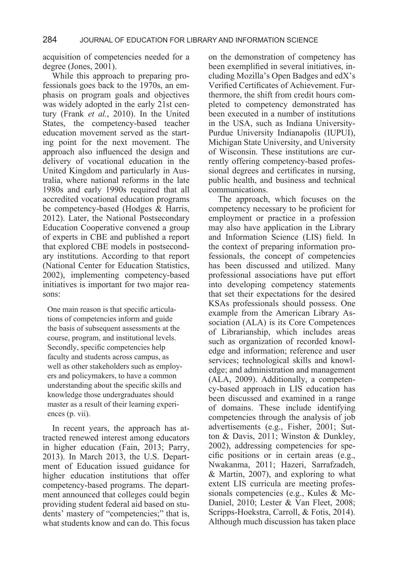acquisition of competencies needed for a degree (Jones, 2001).

While this approach to preparing professionals goes back to the 1970s, an emphasis on program goals and objectives was widely adopted in the early 21st century (Frank *et al.*, 2010). In the United States, the competency-based teacher education movement served as the starting point for the next movement. The approach also influenced the design and delivery of vocational education in the United Kingdom and particularly in Australia, where national reforms in the late 1980s and early 1990s required that all accredited vocational education programs be competency-based (Hodges & Harris, 2012). Later, the National Postsecondary Education Cooperative convened a group of experts in CBE and published a report that explored CBE models in postsecondary institutions. According to that report (National Center for Education Statistics, 2002), implementing competency-based initiatives is important for two major reasons:

One main reason is that specific articulations of competencies inform and guide the basis of subsequent assessments at the course, program, and institutional levels. Secondly, specific competencies help faculty and students across campus, as well as other stakeholders such as employers and policymakers, to have a common understanding about the specific skills and knowledge those undergraduates should master as a result of their learning experiences (p. vii).

In recent years, the approach has attracted renewed interest among educators in higher education (Fain, 2013; Parry, 2013). In March 2013, the U.S. Department of Education issued guidance for higher education institutions that offer competency-based programs. The department announced that colleges could begin providing student federal aid based on students' mastery of "competencies;" that is, what students know and can do. This focus

on the demonstration of competency has been exemplified in several initiatives, including Mozilla's Open Badges and edX's Verified Certificates of Achievement. Furthermore, the shift from credit hours completed to competency demonstrated has been executed in a number of institutions in the USA, such as Indiana University-Purdue University Indianapolis (IUPUI), Michigan State University, and University of Wisconsin. These institutions are currently offering competency-based professional degrees and certificates in nursing, public health, and business and technical communications.

The approach, which focuses on the competency necessary to be proficient for employment or practice in a profession may also have application in the Library and Information Science (LIS) field. In the context of preparing information professionals, the concept of competencies has been discussed and utilized. Many professional associations have put effort into developing competency statements that set their expectations for the desired KSAs professionals should possess. One example from the American Library Association (ALA) is its Core Competences of Librarianship, which includes areas such as organization of recorded knowledge and information; reference and user services; technological skills and knowledge; and administration and management (ALA, 2009). Additionally, a competency-based approach in LIS education has been discussed and examined in a range of domains. These include identifying competencies through the analysis of job advertisements (e.g., Fisher, 2001; Sutton & Davis, 2011; Winston & Dunkley, 2002), addressing competencies for specific positions or in certain areas (e.g., Nwakanma, 2011; Hazeri, Sarrafzadeh, & Martin, 2007), and exploring to what extent LIS curricula are meeting professionals competencies (e.g., Kules & Mc-Daniel, 2010; Lester & Van Fleet, 2008; Scripps-Hoekstra, Carroll, & Fotis, 2014). Although much discussion has taken place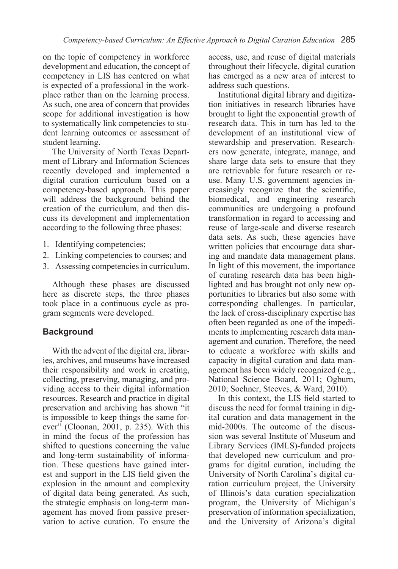on the topic of competency in workforce development and education, the concept of competency in LIS has centered on what is expected of a professional in the workplace rather than on the learning process. As such, one area of concern that provides scope for additional investigation is how to systematically link competencies to student learning outcomes or assessment of student learning.

The University of North Texas Department of Library and Information Sciences recently developed and implemented a digital curation curriculum based on a competency-based approach. This paper will address the background behind the creation of the curriculum, and then discuss its development and implementation according to the following three phases:

- 1. Identifying competencies;
- 2. Linking competencies to courses; and
- 3. Assessing competencies in curriculum.

Although these phases are discussed here as discrete steps, the three phases took place in a continuous cycle as program segments were developed.

## **Background**

With the advent of the digital era, libraries, archives, and museums have increased their responsibility and work in creating, collecting, preserving, managing, and providing access to their digital information resources. Research and practice in digital preservation and archiving has shown "it is impossible to keep things the same forever" (Cloonan, 2001, p. 235). With this in mind the focus of the profession has shifted to questions concerning the value and long-term sustainability of information. These questions have gained interest and support in the LIS field given the explosion in the amount and complexity of digital data being generated. As such, the strategic emphasis on long-term management has moved from passive preservation to active curation. To ensure the access, use, and reuse of digital materials throughout their lifecycle, digital curation has emerged as a new area of interest to address such questions.

Institutional digital library and digitization initiatives in research libraries have brought to light the exponential growth of research data. This in turn has led to the development of an institutional view of stewardship and preservation. Researchers now generate, integrate, manage, and share large data sets to ensure that they are retrievable for future research or reuse. Many U.S. government agencies increasingly recognize that the scientific, biomedical, and engineering research communities are undergoing a profound transformation in regard to accessing and reuse of large-scale and diverse research data sets. As such, these agencies have written policies that encourage data sharing and mandate data management plans. In light of this movement, the importance of curating research data has been highlighted and has brought not only new opportunities to libraries but also some with corresponding challenges. In particular, the lack of cross-disciplinary expertise has often been regarded as one of the impediments to implementing research data management and curation. Therefore, the need to educate a workforce with skills and capacity in digital curation and data management has been widely recognized (e.g., National Science Board, 2011; Ogburn, 2010; Soehner, Steeves, & Ward, 2010).

In this context, the LIS field started to discuss the need for formal training in digital curation and data management in the mid-2000s. The outcome of the discussion was several Institute of Museum and Library Services (IMLS)-funded projects that developed new curriculum and programs for digital curation, including the University of North Carolina's digital curation curriculum project, the University of Illinois's data curation specialization program, the University of Michigan's preservation of information specialization, and the University of Arizona's digital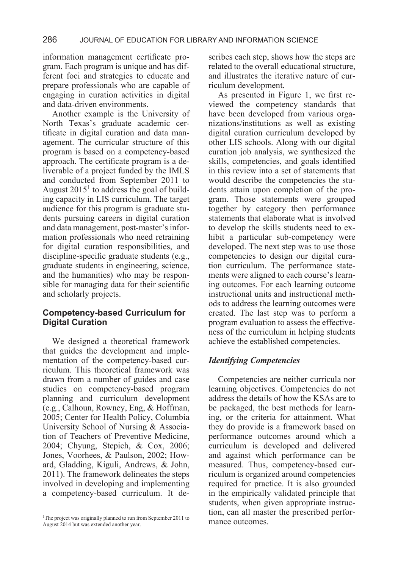information management certificate program. Each program is unique and has different foci and strategies to educate and prepare professionals who are capable of engaging in curation activities in digital and data-driven environments.

Another example is the University of North Texas's graduate academic certificate in digital curation and data management. The curricular structure of this program is based on a competency-based approach. The certificate program is a deliverable of a project funded by the IMLS and conducted from September 2011 to August  $2015^1$  to address the goal of building capacity in LIS curriculum. The target audience for this program is graduate students pursuing careers in digital curation and data management, post-master's information professionals who need retraining for digital curation responsibilities, and discipline-specific graduate students (e.g., graduate students in engineering, science, and the humanities) who may be responsible for managing data for their scientific and scholarly projects.

#### **Competency-based Curriculum for Digital Curation**

We designed a theoretical framework that guides the development and implementation of the competency-based curriculum. This theoretical framework was drawn from a number of guides and case studies on competency-based program planning and curriculum development (e.g., Calhoun, Rowney, Eng, & Hoffman, 2005; Center for Health Policy, Columbia University School of Nursing & Association of Teachers of Preventive Medicine, 2004; Chyung, Stepich, & Cox, 2006; Jones, Voorhees, & Paulson, 2002; Howard, Gladding, Kiguli, Andrews, & John, 2011). The framework delineates the steps involved in developing and implementing a competency-based curriculum. It describes each step, shows how the steps are related to the overall educational structure, and illustrates the iterative nature of curriculum development.

As presented in Figure 1, we first reviewed the competency standards that have been developed from various organizations/institutions as well as existing digital curation curriculum developed by other LIS schools. Along with our digital curation job analysis, we synthesized the skills, competencies, and goals identified in this review into a set of statements that would describe the competencies the students attain upon completion of the program. Those statements were grouped together by category then performance statements that elaborate what is involved to develop the skills students need to exhibit a particular sub-competency were developed. The next step was to use those competencies to design our digital curation curriculum. The performance statements were aligned to each course's learning outcomes. For each learning outcome instructional units and instructional methods to address the learning outcomes were created. The last step was to perform a program evaluation to assess the effectiveness of the curriculum in helping students achieve the established competencies.

#### *Identifying Competencies*

Competencies are neither curricula nor learning objectives. Competencies do not address the details of how the KSAs are to be packaged, the best methods for learning, or the criteria for attainment. What they do provide is a framework based on performance outcomes around which a curriculum is developed and delivered and against which performance can be measured. Thus, competency-based curriculum is organized around competencies required for practice. It is also grounded in the empirically validated principle that students, when given appropriate instruction, can all master the prescribed perfor-

<sup>&</sup>lt;sup>1</sup>The project was originally planned to run from September 2011 to **mance outcomes** August 2014 but was extended another year.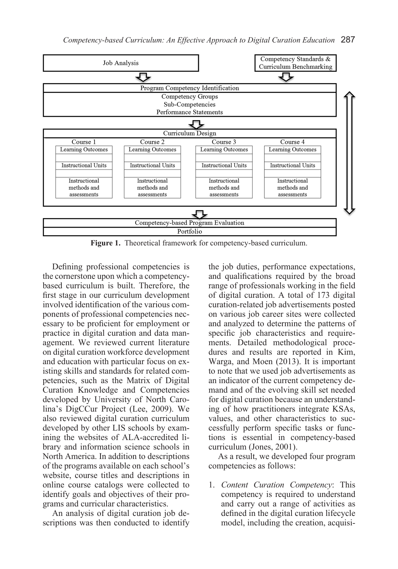

**Figure 1.** Theoretical framework for competency-based curriculum.

Defining professional competencies is the cornerstone upon which a competencybased curriculum is built. Therefore, the first stage in our curriculum development involved identification of the various components of professional competencies necessary to be proficient for employment or practice in digital curation and data management. We reviewed current literature on digital curation workforce development and education with particular focus on existing skills and standards for related competencies, such as the Matrix of Digital Curation Knowledge and Competencies developed by University of North Carolina's DigCCur Project (Lee, 2009). We also reviewed digital curation curriculum developed by other LIS schools by examining the websites of ALA-accredited library and information science schools in North America. In addition to descriptions of the programs available on each school's website, course titles and descriptions in online course catalogs were collected to identify goals and objectives of their programs and curricular characteristics.

An analysis of digital curation job descriptions was then conducted to identify the job duties, performance expectations, and qualifications required by the broad range of professionals working in the field of digital curation. A total of 173 digital curation-related job advertisements posted on various job career sites were collected and analyzed to determine the patterns of specific job characteristics and requirements. Detailed methodological procedures and results are reported in Kim, Warga, and Moen (2013). It is important to note that we used job advertisements as an indicator of the current competency demand and of the evolving skill set needed for digital curation because an understanding of how practitioners integrate KSAs, values, and other characteristics to successfully perform specific tasks or functions is essential in competency-based curriculum (Jones, 2001).

As a result, we developed four program competencies as follows:

1. *Content Curation Competency*: This competency is required to understand and carry out a range of activities as defined in the digital curation lifecycle model, including the creation, acquisi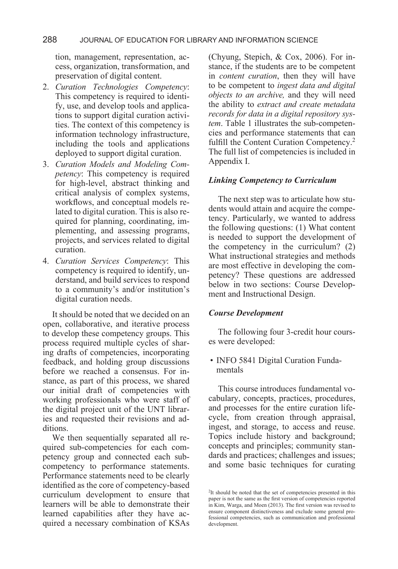tion, management, representation, access, organization, transformation, and preservation of digital content.

- 2. *Curation Technologies Competency*: This competency is required to identify, use, and develop tools and applications to support digital curation activities. The context of this competency is information technology infrastructure, including the tools and applications deployed to support digital curation.
- 3. *Curation Models and Modeling Competency*: This competency is required for high-level, abstract thinking and critical analysis of complex systems, workflows, and conceptual models related to digital curation. This is also required for planning, coordinating, implementing, and assessing programs, projects, and services related to digital curation.
- 4. *Curation Services Competency*: This competency is required to identify, understand, and build services to respond to a community's and/or institution's digital curation needs.

It should be noted that we decided on an open, collaborative, and iterative process to develop these competency groups. This process required multiple cycles of sharing drafts of competencies, incorporating feedback, and holding group discussions before we reached a consensus. For instance, as part of this process, we shared our initial draft of competencies with working professionals who were staff of the digital project unit of the UNT libraries and requested their revisions and additions.

We then sequentially separated all required sub-competencies for each competency group and connected each subcompetency to performance statements. Performance statements need to be clearly identified as the core of competency-based curriculum development to ensure that learners will be able to demonstrate their learned capabilities after they have acquired a necessary combination of KSAs (Chyung, Stepich, & Cox, 2006). For instance, if the students are to be competent in *content curation*, then they will have to be competent to *ingest data and digital objects to an archive,* and they will need the ability to *extract and create metadata records for data in a digital repository system*. Table 1 illustrates the sub-competencies and performance statements that can fulfill the Content Curation Competency.2 The full list of competencies is included in Appendix I.

#### *Linking Competency to Curriculum*

The next step was to articulate how students would attain and acquire the competency. Particularly, we wanted to address the following questions: (1) What content is needed to support the development of the competency in the curriculum? (2) What instructional strategies and methods are most effective in developing the competency? These questions are addressed below in two sections: Course Development and Instructional Design.

#### *Course Development*

The following four 3-credit hour courses were developed:

• INFO 5841 Digital Curation Fundamentals

This course introduces fundamental vocabulary, concepts, practices, procedures, and processes for the entire curation lifecycle, from creation through appraisal, ingest, and storage, to access and reuse. Topics include history and background; concepts and principles; community standards and practices; challenges and issues; and some basic techniques for curating

<sup>2</sup>It should be noted that the set of competencies presented in this paper is not the same as the first version of competencies reported in Kim, Warga, and Moen (2013). The first version was revised to ensure component distinctiveness and exclude some general professional competencies, such as communication and professional development.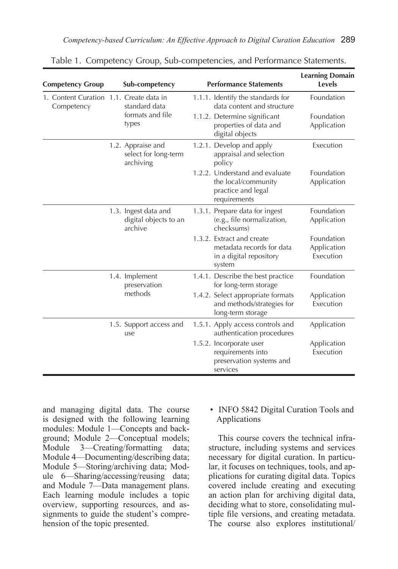| <b>Competency Group</b>                               | Sub-competency                                           | <b>Performance Statements</b>                                                               | <b>Learning Domain</b><br>Levels       |
|-------------------------------------------------------|----------------------------------------------------------|---------------------------------------------------------------------------------------------|----------------------------------------|
| 1. Content Curation 1.1. Create data in<br>Competency | standard data<br>formats and file<br>types               | 1.1.1. Identify the standards for<br>data content and structure                             | Foundation                             |
|                                                       |                                                          | 1.1.2. Determine significant<br>properties of data and<br>digital objects                   | Foundation<br>Application              |
|                                                       | 1.2. Appraise and<br>select for long-term<br>archiving   | 1.2.1. Develop and apply<br>appraisal and selection<br>policy                               | Execution                              |
|                                                       |                                                          | 1.2.2. Understand and evaluate<br>the local/community<br>practice and legal<br>requirements | Foundation<br>Application              |
|                                                       | 1.3. Ingest data and<br>digital objects to an<br>archive | 1.3.1. Prepare data for ingest<br>(e.g., file normalization,<br>checksums)                  | Foundation<br>Application              |
|                                                       |                                                          | 1.3.2. Extract and create<br>metadata records for data<br>in a digital repository<br>system | Foundation<br>Application<br>Execution |
|                                                       | 1.4. Implement<br>preservation                           | 1.4.1. Describe the best practice<br>for long-term storage                                  | Foundation                             |
|                                                       | methods                                                  | 1.4.2. Select appropriate formats<br>and methods/strategies for<br>long-term storage        | Application<br>Execution               |
|                                                       | 1.5. Support access and<br>use                           | 1.5.1. Apply access controls and<br>authentication procedures                               | Application                            |
|                                                       |                                                          | 1.5.2. Incorporate user<br>requirements into<br>preservation systems and<br>services        | Application<br>Execution               |

Table 1. Competency Group, Sub-competencies, and Performance Statements.

and managing digital data. The course is designed with the following learning modules: Module 1—Concepts and background; Module 2—Conceptual models; Module 3—Creating/formatting data; Module 4—Documenting/describing data; Module 5—Storing/archiving data; Module 6—Sharing/accessing/reusing data; and Module 7—Data management plans. Each learning module includes a topic overview, supporting resources, and assignments to guide the student's comprehension of the topic presented.

#### • INFO 5842 Digital Curation Tools and Applications

This course covers the technical infrastructure, including systems and services necessary for digital curation. In particular, it focuses on techniques, tools, and applications for curating digital data. Topics covered include creating and executing an action plan for archiving digital data, deciding what to store, consolidating multiple file versions, and creating metadata. The course also explores institutional/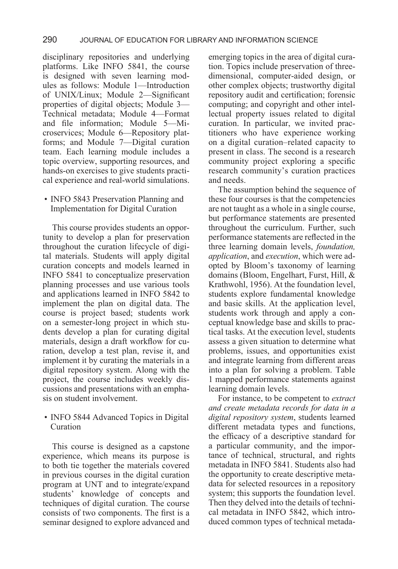disciplinary repositories and underlying platforms. Like INFO 5841, the course is designed with seven learning modules as follows: Module 1—Introduction of UNIX/Linux; Module 2—Significant properties of digital objects; Module 3— Technical metadata; Module 4—Format and file information; Module 5—Microservices; Module 6—Repository platforms; and Module 7—Digital curation team. Each learning module includes a topic overview, supporting resources, and hands-on exercises to give students practical experience and real-world simulations.

### • INFO 5843 Preservation Planning and Implementation for Digital Curation

This course provides students an opportunity to develop a plan for preservation throughout the curation lifecycle of digital materials. Students will apply digital curation concepts and models learned in INFO 5841 to conceptualize preservation planning processes and use various tools and applications learned in INFO 5842 to implement the plan on digital data. The course is project based; students work on a semester-long project in which students develop a plan for curating digital materials, design a draft workflow for curation, develop a test plan, revise it, and implement it by curating the materials in a digital repository system. Along with the project, the course includes weekly discussions and presentations with an emphasis on student involvement.

• INFO 5844 Advanced Topics in Digital Curation

This course is designed as a capstone experience, which means its purpose is to both tie together the materials covered in previous courses in the digital curation program at UNT and to integrate/expand students' knowledge of concepts and techniques of digital curation. The course consists of two components. The first is a seminar designed to explore advanced and

emerging topics in the area of digital curation. Topics include preservation of threedimensional, computer-aided design, or other complex objects; trustworthy digital repository audit and certification; forensic computing; and copyright and other intellectual property issues related to digital curation. In particular, we invited practitioners who have experience working on a digital curation–related capacity to present in class. The second is a research community project exploring a specific research community's curation practices and needs.

The assumption behind the sequence of these four courses is that the competencies are not taught as a whole in a single course, but performance statements are presented throughout the curriculum. Further, such performance statements are reflected in the three learning domain levels, *foundation, application*, and *execution*, which were adopted by Bloom's taxonomy of learning domains (Bloom, Engelhart, Furst, Hill, & Krathwohl, 1956). At the foundation level, students explore fundamental knowledge and basic skills. At the application level, students work through and apply a conceptual knowledge base and skills to practical tasks. At the execution level, students assess a given situation to determine what problems, issues, and opportunities exist and integrate learning from different areas into a plan for solving a problem. Table 1 mapped performance statements against learning domain levels.

For instance, to be competent to *extract and create metadata records for data in a digital repository system*, students learned different metadata types and functions, the efficacy of a descriptive standard for a particular community, and the importance of technical, structural, and rights metadata in INFO 5841. Students also had the opportunity to create descriptive metadata for selected resources in a repository system; this supports the foundation level. Then they delved into the details of technical metadata in INFO 5842, which introduced common types of technical metada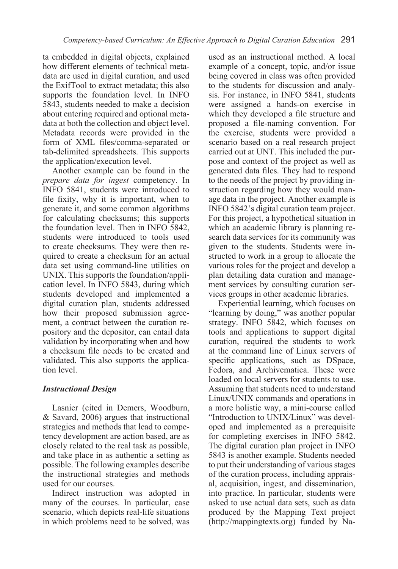ta embedded in digital objects, explained how different elements of technical metadata are used in digital curation, and used the ExifTool to extract metadata; this also supports the foundation level. In INFO 5843, students needed to make a decision about entering required and optional metadata at both the collection and object level. Metadata records were provided in the form of XML files/comma-separated or tab-delimited spreadsheets. This supports the application/execution level.

Another example can be found in the *prepare data for ingest* competency. In INFO 5841, students were introduced to file fixity, why it is important, when to generate it, and some common algorithms for calculating checksums; this supports the foundation level. Then in INFO 5842, students were introduced to tools used to create checksums. They were then required to create a checksum for an actual data set using command-line utilities on UNIX. This supports the foundation/application level. In INFO 5843, during which students developed and implemented a digital curation plan, students addressed how their proposed submission agreement, a contract between the curation repository and the depositor, can entail data validation by incorporating when and how a checksum file needs to be created and validated. This also supports the application level.

## *Instructional Design*

Lasnier (cited in Demers, Woodburn, & Savard, 2006) argues that instructional strategies and methods that lead to competency development are action based, are as closely related to the real task as possible, and take place in as authentic a setting as possible. The following examples describe the instructional strategies and methods used for our courses.

Indirect instruction was adopted in many of the courses. In particular, case scenario, which depicts real-life situations in which problems need to be solved, was

used as an instructional method. A local example of a concept, topic, and/or issue being covered in class was often provided to the students for discussion and analysis. For instance, in INFO 5841, students were assigned a hands-on exercise in which they developed a file structure and proposed a file-naming convention. For the exercise, students were provided a scenario based on a real research project carried out at UNT. This included the purpose and context of the project as well as generated data files. They had to respond to the needs of the project by providing instruction regarding how they would manage data in the project. Another example is INFO 5842's digital curation team project. For this project, a hypothetical situation in which an academic library is planning research data services for its community was given to the students. Students were instructed to work in a group to allocate the various roles for the project and develop a plan detailing data curation and management services by consulting curation services groups in other academic libraries.

Experiential learning, which focuses on "learning by doing," was another popular strategy. INFO 5842, which focuses on tools and applications to support digital curation, required the students to work at the command line of Linux servers of specific applications, such as DSpace, Fedora, and Archivematica. These were loaded on local servers for students to use. Assuming that students need to understand Linux/UNIX commands and operations in a more holistic way, a mini-course called "Introduction to UNIX/Linux" was developed and implemented as a prerequisite for completing exercises in INFO 5842. The digital curation plan project in INFO 5843 is another example. Students needed to put their understanding of various stages of the curation process, including appraisal, acquisition, ingest, and dissemination, into practice. In particular, students were asked to use actual data sets, such as data produced by the Mapping Text project (http://mappingtexts.org) funded by Na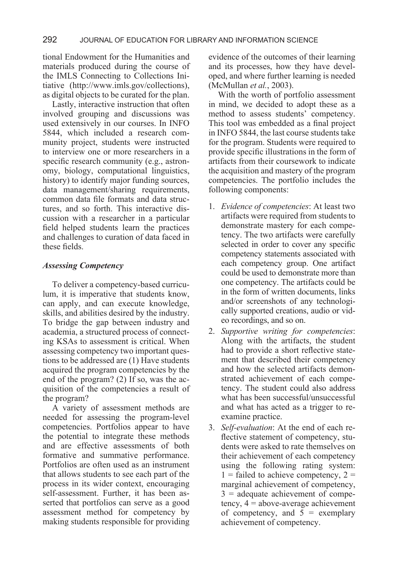tional Endowment for the Humanities and materials produced during the course of the IMLS Connecting to Collections Initiative (http://www.imls.gov/collections), as digital objects to be curated for the plan.

Lastly, interactive instruction that often involved grouping and discussions was used extensively in our courses. In INFO 5844, which included a research community project, students were instructed to interview one or more researchers in a specific research community (e.g., astronomy, biology, computational linguistics, history) to identify major funding sources, data management/sharing requirements, common data file formats and data structures, and so forth. This interactive discussion with a researcher in a particular field helped students learn the practices and challenges to curation of data faced in these fields.

## *Assessing Competency*

To deliver a competency-based curriculum, it is imperative that students know, can apply, and can execute knowledge, skills, and abilities desired by the industry. To bridge the gap between industry and academia, a structured process of connecting KSAs to assessment is critical. When assessing competency two important questions to be addressed are (1) Have students acquired the program competencies by the end of the program? (2) If so, was the acquisition of the competencies a result of the program?

A variety of assessment methods are needed for assessing the program-level competencies. Portfolios appear to have the potential to integrate these methods and are effective assessments of both formative and summative performance. Portfolios are often used as an instrument that allows students to see each part of the process in its wider context, encouraging self-assessment. Further, it has been asserted that portfolios can serve as a good assessment method for competency by making students responsible for providing evidence of the outcomes of their learning and its processes, how they have developed, and where further learning is needed (McMullan *et al.*, 2003).

With the worth of portfolio assessment in mind, we decided to adopt these as a method to assess students' competency. This tool was embedded as a final project in INFO 5844, the last course students take for the program. Students were required to provide specific illustrations in the form of artifacts from their coursework to indicate the acquisition and mastery of the program competencies. The portfolio includes the following components:

- 1. *Evidence of competencies*: At least two artifacts were required from students to demonstrate mastery for each competency. The two artifacts were carefully selected in order to cover any specific competency statements associated with each competency group. One artifact could be used to demonstrate more than one competency. The artifacts could be in the form of written documents, links and/or screenshots of any technologically supported creations, audio or video recordings, and so on.
- 2. *Supportive writing for competencies*: Along with the artifacts, the student had to provide a short reflective statement that described their competency and how the selected artifacts demonstrated achievement of each competency. The student could also address what has been successful/unsuccessful and what has acted as a trigger to reexamine practice.
- 3. *Self-evaluation*: At the end of each reflective statement of competency, students were asked to rate themselves on their achievement of each competency using the following rating system:  $1$  = failed to achieve competency,  $2 =$ marginal achievement of competency, 3 = adequate achievement of competency,  $4 = above-average$  achievement of competency, and  $5 =$  exemplary achievement of competency.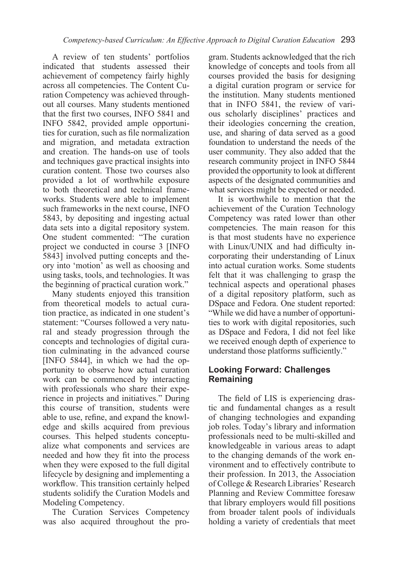A review of ten students' portfolios indicated that students assessed their achievement of competency fairly highly across all competencies. The Content Curation Competency was achieved throughout all courses. Many students mentioned that the first two courses, INFO 5841 and INFO 5842, provided ample opportunities for curation, such as file normalization and migration, and metadata extraction and creation. The hands-on use of tools and techniques gave practical insights into curation content. Those two courses also provided a lot of worthwhile exposure to both theoretical and technical frameworks. Students were able to implement such frameworks in the next course, INFO 5843, by depositing and ingesting actual data sets into a digital repository system. One student commented: "The curation project we conducted in course 3 [INFO 5843] involved putting concepts and theory into 'motion' as well as choosing and using tasks, tools, and technologies. It was the beginning of practical curation work."

Many students enjoyed this transition from theoretical models to actual curation practice, as indicated in one student's statement: "Courses followed a very natural and steady progression through the concepts and technologies of digital curation culminating in the advanced course [INFO 5844], in which we had the opportunity to observe how actual curation work can be commenced by interacting with professionals who share their experience in projects and initiatives." During this course of transition, students were able to use, refine, and expand the knowledge and skills acquired from previous courses. This helped students conceptualize what components and services are needed and how they fit into the process when they were exposed to the full digital lifecycle by designing and implementing a workflow. This transition certainly helped students solidify the Curation Models and Modeling Competency.

The Curation Services Competency was also acquired throughout the program. Students acknowledged that the rich knowledge of concepts and tools from all courses provided the basis for designing a digital curation program or service for the institution. Many students mentioned that in INFO 5841, the review of various scholarly disciplines' practices and their ideologies concerning the creation, use, and sharing of data served as a good foundation to understand the needs of the user community. They also added that the research community project in INFO 5844 provided the opportunity to look at different aspects of the designated communities and what services might be expected or needed.

It is worthwhile to mention that the achievement of the Curation Technology Competency was rated lower than other competencies. The main reason for this is that most students have no experience with Linux/UNIX and had difficulty incorporating their understanding of Linux into actual curation works. Some students felt that it was challenging to grasp the technical aspects and operational phases of a digital repository platform, such as DSpace and Fedora. One student reported: "While we did have a number of opportunities to work with digital repositories, such as DSpace and Fedora, I did not feel like we received enough depth of experience to understand those platforms sufficiently."

## **Looking Forward: Challenges Remaining**

The field of LIS is experiencing drastic and fundamental changes as a result of changing technologies and expanding job roles. Today's library and information professionals need to be multi-skilled and knowledgeable in various areas to adapt to the changing demands of the work environment and to effectively contribute to their profession. In 2013, the Association of College & Research Libraries' Research Planning and Review Committee foresaw that library employers would fill positions from broader talent pools of individuals holding a variety of credentials that meet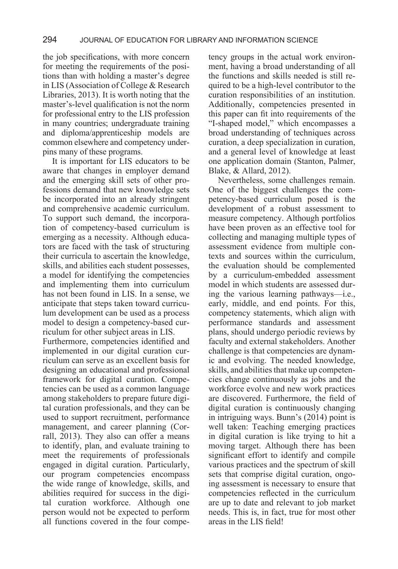the job specifications, with more concern for meeting the requirements of the positions than with holding a master's degree in LIS (Association of College & Research Libraries, 2013). It is worth noting that the master's-level qualification is not the norm for professional entry to the LIS profession in many countries; undergraduate training and diploma/apprenticeship models are common elsewhere and competency underpins many of these programs.

It is important for LIS educators to be aware that changes in employer demand and the emerging skill sets of other professions demand that new knowledge sets be incorporated into an already stringent and comprehensive academic curriculum. To support such demand, the incorporation of competency-based curriculum is emerging as a necessity. Although educators are faced with the task of structuring their curricula to ascertain the knowledge, skills, and abilities each student possesses, a model for identifying the competencies and implementing them into curriculum has not been found in LIS. In a sense, we anticipate that steps taken toward curriculum development can be used as a process model to design a competency-based curriculum for other subject areas in LIS.

Furthermore, competencies identified and implemented in our digital curation curriculum can serve as an excellent basis for designing an educational and professional framework for digital curation. Competencies can be used as a common language among stakeholders to prepare future digital curation professionals, and they can be used to support recruitment, performance management, and career planning (Corrall, 2013). They also can offer a means to identify, plan, and evaluate training to meet the requirements of professionals engaged in digital curation. Particularly, our program competencies encompass the wide range of knowledge, skills, and abilities required for success in the digital curation workforce. Although one person would not be expected to perform all functions covered in the four competency groups in the actual work environment, having a broad understanding of all the functions and skills needed is still required to be a high-level contributor to the curation responsibilities of an institution. Additionally, competencies presented in this paper can fit into requirements of the "I-shaped model," which encompasses a broad understanding of techniques across curation, a deep specialization in curation, and a general level of knowledge at least one application domain (Stanton, Palmer, Blake, & Allard, 2012).

Nevertheless, some challenges remain. One of the biggest challenges the competency-based curriculum posed is the development of a robust assessment to measure competency. Although portfolios have been proven as an effective tool for collecting and managing multiple types of assessment evidence from multiple contexts and sources within the curriculum, the evaluation should be complemented by a curriculum-embedded assessment model in which students are assessed during the various learning pathways—i.e., early, middle, and end points. For this, competency statements, which align with performance standards and assessment plans, should undergo periodic reviews by faculty and external stakeholders. Another challenge is that competencies are dynamic and evolving. The needed knowledge, skills, and abilities that make up competencies change continuously as jobs and the workforce evolve and new work practices are discovered. Furthermore, the field of digital curation is continuously changing in intriguing ways. Bunn's (2014) point is well taken: Teaching emerging practices in digital curation is like trying to hit a moving target. Although there has been significant effort to identify and compile various practices and the spectrum of skill sets that comprise digital curation, ongoing assessment is necessary to ensure that competencies reflected in the curriculum are up to date and relevant to job market needs. This is, in fact, true for most other areas in the LIS field!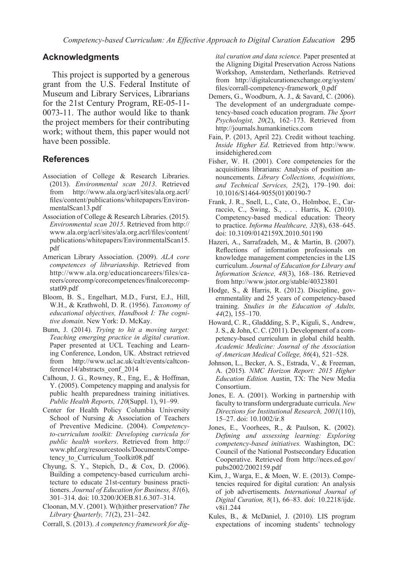#### **Acknowledgments**

This project is supported by a generous grant from the U.S. Federal Institute of Museum and Library Services, Librarians for the 21st Century Program, RE-05-11- 0073-11. The author would like to thank the project members for their contributing work; without them, this paper would not have been possible.

## **References**

- Association of College & Research Libraries. (2013). *Environmental scan 2013*. Retrieved from http://www.ala.org/acrl/sites/ala.org.acrl/ files/content/publications/whitepapers/EnvironmentalScan13.pdf
- Association of College & Research Libraries. (2015). *Environmental scan 2015*. Retrieved from http:// www.ala.org/acrl/sites/ala.org.acrl/files/content/ publications/whitepapers/EnvironmentalScan15. pdf
- American Library Association. (2009). *ALA core competences of librarianship*. Retrieved from http://www.ala.org/educationcareers/files/careers/corecomp/corecompetences/finalcorecompstat09.pdf
- Bloom, B. S., Engelhart, M.D., Furst, E.J., Hill, W.H., & Krathwohl, D. R. (1956). *Taxonomy of educational objectives, Handbook I: The cognitive domain*. New York: D. McKay.
- Bunn, J. (2014). *Trying to hit a moving target: Teaching emerging practice in digital curation*. Paper presented at UCL Teaching and Learning Conference, London, UK. Abstract retrieved from http://www.ucl.ac.uk/calt/events/caltconference14/abstracts\_conf\_2014
- Calhoun, J. G., Rowney, R., Eng, E., & Hoffman, Y. (2005). Competency mapping and analysis for public health preparedness training initiatives. *Public Health Reports, 120*(Suppl. 1), 91–99.
- Center for Health Policy Columbia University School of Nursing & Association of Teachers of Preventive Medicine. (2004). *Competencyto-curriculum toolkit: Developing curricula for public health workers*. Retrieved from http:// www.phf.org/resourcestools/Documents/Competency to Curriculum Toolkit08.pdf
- Chyung, S. Y., Stepich, D., & Cox, D. (2006). Building a competency-based curriculum architecture to educate 21st-century business practitioners. *Journal of Education for Business, 81*(6), 301–314. doi: 10.3200/JOEB.81.6.307–314.
- Cloonan, M.V. (2001). W(h)ither preservation? *The Library Quarterly, 71*(2), 231–242.
- Corrall, S. (2013). *A competency framework for dig-*

*ital curation and data science.* Paper presented at the Aligning Digital Preservation Across Nations Workshop, Amsterdam, Netherlands. Retrieved from http://digitalcurationexchange.org/system/ files/corrall-competency-framework\_0.pdf

- Demers, G., Woodburn, A. J., & Savard, C. (2006). The development of an undergraduate competency-based coach education program. *The Sport Psychologist, 20*(2), 162–173. Retrieved from http://journals.humankinetics.com
- Fain, P. (2013, April 22). Credit without teaching. *Inside Higher Ed*. Retrieved from http://www. insidehighered.com
- Fisher, W. H. (2001). Core competencies for the acquisitions librarians: Analysis of position announcements. *Library Collections, Acquisitions, and Technical Services, 25*(2), 179–190. doi: 10.1016/S1464-9055(01)00190-7
- Frank, J. R., Snell, L., Cate, O., Holmboe, E., Carraccio, C., Swing, S., . . . Harris, K. (2010). Competency-based medical education: Theory to practice. *Informa Healthcare, 32*(8), 638–645. doi: 10.3109/0142159X.2010.501190
- Hazeri, A., Sarrafzadeh, M., & Martin, B. (2007). Reflections of information professionals on knowledge management competencies in the LIS curriculum. *Journal of Education for Library and Information Science, 48*(3), 168–186. Retrieved from http://www.jstor.org/stable/40323801
- Hodge, S., & Harris, R. (2012). Discipline, governmentality and 25 years of competency-based training. *Studies in the Education of Adults, 44*(2), 155–170.
- Howard, C. R., Gladdding, S. P., Kiguli, S., Andrew, J. S., & John, C. C. (2011). Development of a competency-based curriculum in global child health. *Academic Medicine: Journal of the Association of American Medical College, 86*(4), 521–528.
- Johnson, L., Becker, A. S., Estrada, V., & Freeman, A. (2015). *NMC Horizon Report: 2015 Higher Education Edition.* Austin, TX: The New Media Consortium.
- Jones, E. A. (2001). Working in partnership with faculty to transform undergraduate curricula. *New Directions for Institutional Research, 2001*(110), 15–27. doi: 10.1002/ir.8
- Jones, E., Voorhees, R., & Paulson, K. (2002). *Defining and assessing learning: Exploring competency-based initiatives.* Washington, DC: Council of the National Postsecondary Education Cooperative. Retrieved from http://nces.ed.gov/ pubs2002/2002159.pdf
- Kim, J., Warga, E., & Moen, W. E. (2013). Competencies required for digital curation: An analysis of job advertisements. *International Journal of Digital Curation, 8*(1), 66–83. doi: 10.2218/ijdc. v8i1.244
- Kules, B., & McDaniel, J. (2010). LIS program expectations of incoming students' technology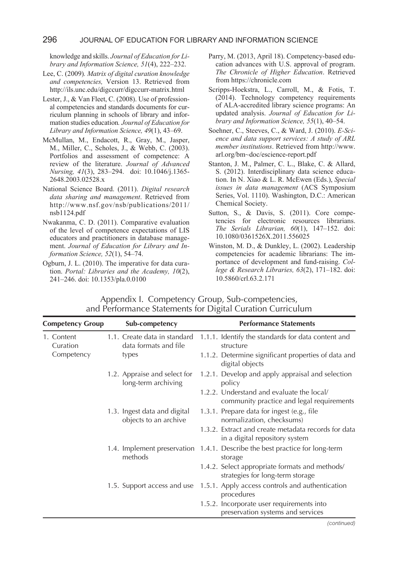#### 296 JOURNAL OF EDUCATION FOR LIBRARY AND INFORMATION SCIENCE

knowledge and skills. *Journal of Education for Library and Information Science, 51*(4), 222–232.

- Lee, C. (2009)*. Matrix of digital curation knowledge and competencies,* Version 13. Retrieved from http://ils.unc.edu/digccurr/digccurr-matrix.html
- Lester, J., & Van Fleet, C. (2008). Use of professional competencies and standards documents for curriculum planning in schools of library and information studies education*. Journal of Education for Library and Information Science, 49*(1), 43–69.
- McMullan, M., Endacott, R., Gray, M., Jasper, M., Miller, C., Scholes, J., & Webb, C. (2003). Portfolios and assessment of competence: A review of the literature. *Journal of Advanced Nursing, 41*(3), 283–294. doi: 10.1046/j.1365- 2648.2003.02528.x
- National Science Board. (2011). *Digital research data sharing and management*. Retrieved from http://www.nsf.gov/nsb/publications/2011/ nsb1124.pdf
- Nwakanma, C. D. (2011). Comparative evaluation of the level of competence expectations of LIS educators and practitioners in database management. *Journal of Education for Library and Information Science, 52*(1), 54–74.
- Ogburn, J. L. (2010). The imperative for data curation. *Portal: Libraries and the Academy, 10*(2), 241–246. doi: 10.1353/pla.0.0100
- Parry, M. (2013, April 18). Competency-based education advances with U.S. approval of program. *The Chronicle of Higher Education*. Retrieved from https://chronicle.com
- Scripps-Hoekstra, L., Carroll, M., & Fotis, T. (2014). Technology competency requirements of ALA-accredited library science programs: An updated analysis. *Journal of Education for Library and Information Science, 55*(1), 40–54.
- Soehner, C., Steeves, C., & Ward, J. (2010). *E-Science and data support services: A study of ARL member institutions*. Retrieved from http://www. arl.org/bm~doc/escience-report.pdf
- Stanton, J. M., Palmer, C. L., Blake, C. & Allard, S. (2012). Interdisciplinary data science education. In N. Xiao & L. R. McEwen (Eds.), *Special issues in data management* (ACS Symposium Series, Vol. 1110). Washington, D.C.: American Chemical Society.
- Sutton, S., & Davis, S. (2011). Core competencies for electronic resources librarians. *The Serials Librarian, 60*(1), 147–152. doi: 10.1080/0361526X.2011.556025
- Winston, M. D., & Dunkley, L. (2002). Leadership competencies for academic librarians: The importance of development and fund-raising. *College & Research Libraries, 63*(2), 171–182. doi: 10.5860/crl.63.2.171

| <b>Competency Group</b> | Sub-competency |                                                       | <b>Performance Statements</b> |                                                                                        |  |
|-------------------------|----------------|-------------------------------------------------------|-------------------------------|----------------------------------------------------------------------------------------|--|
| 1. Content<br>Curation  |                | 1.1. Create data in standard<br>data formats and file |                               | 1.1.1. Identify the standards for data content and<br>structure                        |  |
| Competency              |                | types                                                 |                               | 1.1.2. Determine significant properties of data and<br>digital objects                 |  |
|                         |                | 1.2. Appraise and select for<br>long-term archiving   |                               | 1.2.1. Develop and apply appraisal and selection<br>policy                             |  |
|                         |                |                                                       |                               | 1.2.2. Understand and evaluate the local/<br>community practice and legal requirements |  |
|                         |                | 1.3. Ingest data and digital<br>objects to an archive |                               | 1.3.1. Prepare data for ingest (e.g., file<br>normalization, checksums)                |  |
|                         |                |                                                       |                               | 1.3.2. Extract and create metadata records for data<br>in a digital repository system  |  |
|                         |                | methods                                               |                               | 1.4. Implement preservation 1.4.1. Describe the best practice for long-term<br>storage |  |
|                         |                |                                                       |                               | 1.4.2. Select appropriate formats and methods/<br>strategies for long-term storage     |  |
|                         |                | 1.5. Support access and use                           |                               | 1.5.1. Apply access controls and authentication<br>procedures                          |  |
|                         |                |                                                       |                               | 1.5.2. Incorporate user requirements into<br>preservation systems and services         |  |

Appendix I. Competency Group, Sub-competencies, and Performance Statements for Digital Curation Curriculum

*(continued)*